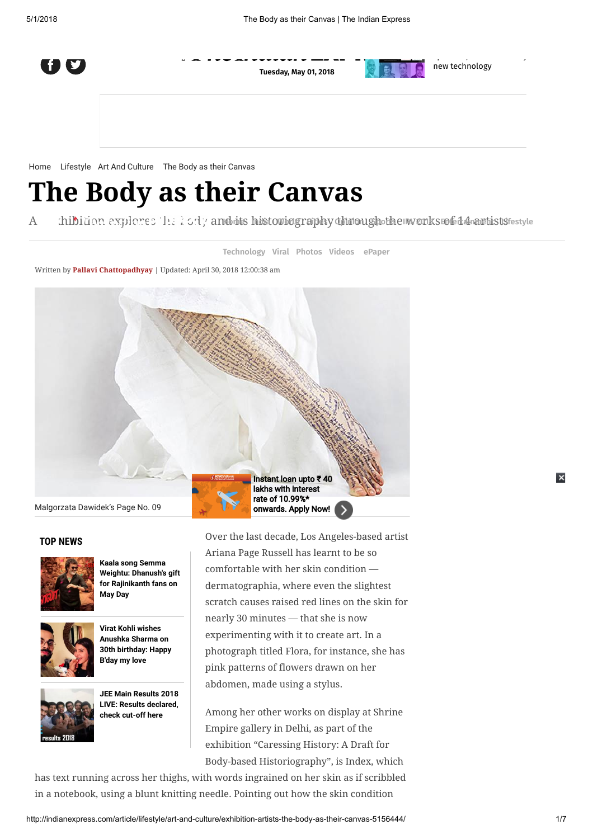

Tuesday, May 01, 2018

new technology

speakers, ieDecode [demysties](http://indianexpress.com/article/technology/tech-news-technology/from-driverless-cars-to-smart-speakers-iedecode-demystifies-new-technology-5144727/)

[Home](http://indianexpress.com/) [Lifestyle](http://indianexpress.com/section/lifestyle/) [Art And Culture](http://indianexpress.com/section/lifestyle/art-and-culture/) The Body as their Canvas

## The Body as their Canvas

An antibitio[n ex](javascript:void(0);)plores the body a[nd its](http://indianexpress.com/) [hist](http://indianexpress.com/section/india/)[oriog](http://indianexpress.com/section/world/)[raphy](http://indianexpress.com/section/cities/) [throu](http://indianexpress.com/section/opinion/)[gh the](http://indianexpress.com/section/sports/) [work](http://indianexpress.com/section/sports/ipl/)[s of 14 artis](http://indianexpress.com/section/entertainment/)ts tensor

[Technology](http://indianexpress.com/section/technology/) [Viral](http://indianexpress.com/trending/) [Photos](http://indianexpress.com/photos/) [Videos](http://indianexpress.com/videos/) [ePaper](http://epaper.indianexpress.com/)

Written by [Pallavi Chattopadhyay](http://indianexpress.com/profile/author/pallavi-chattopadhyay/) | Updated: April 30, 2018 12:00:38 am





TOP NEWS

Kaala song Semma [Weightu: Dhanush's gift](http://indianexpress.com/article/entertainment/tamil/kaala-first-song-semma-weightu-5157427/) for Rajinikanth fans on May Day



Virat Kohli wishes Anushka Sharma on [30th birthday: Happy](http://indianexpress.com/article/entertainment/bollywood/virat-kohli-anushka-sharma-birthday-5158096/) B'day my love



[JEE Main Results 2018](http://indianexpress.com/article/education/jee-main-results-2018-live-updates-iit-declared-cbse-cbseresults-nic-in-jeemain-nic-in-rank-cut-off-5153326/) LIVE: Results declared, check cut-off here

Over the last decade, Los Angeles-based artist Ariana Page Russell has learnt to be so comfortable with her skin condition dermatographia, where even the slightest scratch causes raised red lines on the skin for nearly 30 minutes — that she is now experimenting with it to create art. In a photograph titled Flora, for instance, she has pink patterns of flowers drawn on her abdomen, made using a stylus.

Among her other works on display at Shrine Empire gallery in Delhi, as part of the exhibition "Caressing History: A Draft for Body-based Historiography", is Index, which

has text running across her thighs, with words ingrained on her skin as if scribbled in a notebook, using a blunt knitting needle. Pointing out how the skin condition

 $\overline{\mathbf{x}}$